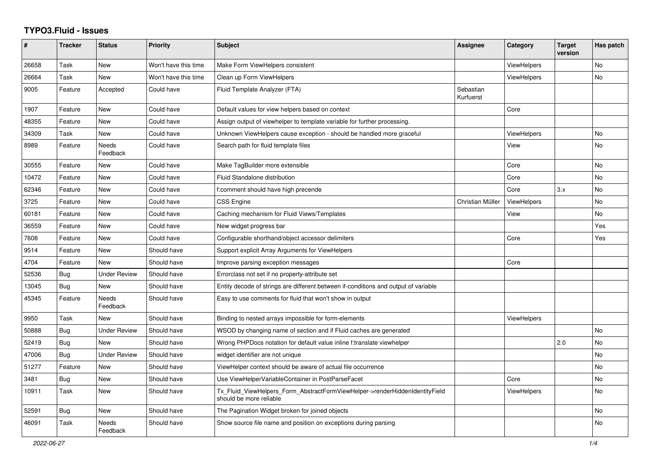## **TYPO3.Fluid - Issues**

| ∦     | <b>Tracker</b> | <b>Status</b>            | <b>Priority</b>      | <b>Subject</b>                                                                                         | Assignee               | Category           | <b>Target</b><br>version | Has patch |
|-------|----------------|--------------------------|----------------------|--------------------------------------------------------------------------------------------------------|------------------------|--------------------|--------------------------|-----------|
| 26658 | Task           | <b>New</b>               | Won't have this time | Make Form ViewHelpers consistent                                                                       |                        | <b>ViewHelpers</b> |                          | <b>No</b> |
| 26664 | Task           | New                      | Won't have this time | Clean up Form ViewHelpers                                                                              |                        | ViewHelpers        |                          | <b>No</b> |
| 9005  | Feature        | Accepted                 | Could have           | Fluid Template Analyzer (FTA)                                                                          | Sebastian<br>Kurfuerst |                    |                          |           |
| 1907  | Feature        | New                      | Could have           | Default values for view helpers based on context                                                       |                        | Core               |                          |           |
| 48355 | Feature        | New                      | Could have           | Assign output of viewhelper to template variable for further processing.                               |                        |                    |                          |           |
| 34309 | Task           | <b>New</b>               | Could have           | Unknown ViewHelpers cause exception - should be handled more graceful                                  |                        | <b>ViewHelpers</b> |                          | <b>No</b> |
| 8989  | Feature        | <b>Needs</b><br>Feedback | Could have           | Search path for fluid template files                                                                   |                        | View               |                          | <b>No</b> |
| 30555 | Feature        | New                      | Could have           | Make TagBuilder more extensible                                                                        |                        | Core               |                          | No        |
| 10472 | Feature        | New                      | Could have           | Fluid Standalone distribution                                                                          |                        | Core               |                          | <b>No</b> |
| 62346 | Feature        | New                      | Could have           | f:comment should have high precende                                                                    |                        | Core               | 3.x                      | No        |
| 3725  | Feature        | New                      | Could have           | <b>CSS Engine</b>                                                                                      | Christian Müller       | <b>ViewHelpers</b> |                          | No        |
| 60181 | Feature        | New                      | Could have           | Caching mechanism for Fluid Views/Templates                                                            |                        | View               |                          | No        |
| 36559 | Feature        | <b>New</b>               | Could have           | New widget progress bar                                                                                |                        |                    |                          | Yes       |
| 7608  | Feature        | <b>New</b>               | Could have           | Configurable shorthand/object accessor delimiters                                                      |                        | Core               |                          | Yes       |
| 9514  | Feature        | New                      | Should have          | Support explicit Array Arguments for ViewHelpers                                                       |                        |                    |                          |           |
| 4704  | Feature        | New                      | Should have          | Improve parsing exception messages                                                                     |                        | Core               |                          |           |
| 52536 | Bug            | Under Review             | Should have          | Errorclass not set if no property-attribute set                                                        |                        |                    |                          |           |
| 13045 | Bug            | New                      | Should have          | Entity decode of strings are different between if-conditions and output of variable                    |                        |                    |                          |           |
| 45345 | Feature        | <b>Needs</b><br>Feedback | Should have          | Easy to use comments for fluid that won't show in output                                               |                        |                    |                          |           |
| 9950  | Task           | <b>New</b>               | Should have          | Binding to nested arrays impossible for form-elements                                                  |                        | ViewHelpers        |                          |           |
| 50888 | Bug            | <b>Under Review</b>      | Should have          | WSOD by changing name of section and if Fluid caches are generated                                     |                        |                    |                          | <b>No</b> |
| 52419 | Bug            | <b>New</b>               | Should have          | Wrong PHPDocs notation for default value inline f:translate viewhelper                                 |                        |                    | 2.0                      | <b>No</b> |
| 47006 | Bug            | <b>Under Review</b>      | Should have          | widget identifier are not unique                                                                       |                        |                    |                          | <b>No</b> |
| 51277 | Feature        | New                      | Should have          | ViewHelper context should be aware of actual file occurrence                                           |                        |                    |                          | No        |
| 3481  | Bug            | New                      | Should have          | Use ViewHelperVariableContainer in PostParseFacet                                                      |                        | Core               |                          | No        |
| 10911 | Task           | <b>New</b>               | Should have          | Tx_Fluid_ViewHelpers_Form_AbstractFormViewHelper->renderHiddenIdentityField<br>should be more reliable |                        | ViewHelpers        |                          | <b>No</b> |
| 52591 | Bug            | <b>New</b>               | Should have          | The Pagination Widget broken for joined objects                                                        |                        |                    |                          | No.       |
| 46091 | Task           | Needs<br>Feedback        | Should have          | Show source file name and position on exceptions during parsing                                        |                        |                    |                          | No        |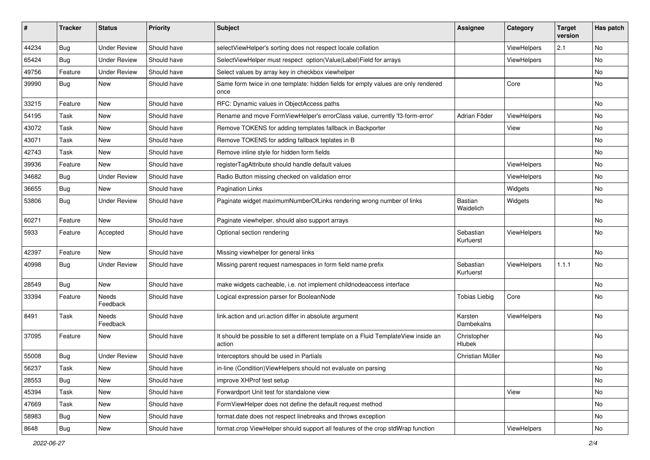| #     | <b>Tracker</b> | <b>Status</b>       | <b>Priority</b> | <b>Subject</b>                                                                                | <b>Assignee</b>             | Category           | <b>Target</b><br>version | Has patch |
|-------|----------------|---------------------|-----------------|-----------------------------------------------------------------------------------------------|-----------------------------|--------------------|--------------------------|-----------|
| 44234 | Bug            | <b>Under Review</b> | Should have     | selectViewHelper's sorting does not respect locale collation                                  |                             | ViewHelpers        | 2.1                      | No        |
| 65424 | <b>Bug</b>     | <b>Under Review</b> | Should have     | SelectViewHelper must respect option(Value Label)Field for arrays                             |                             | ViewHelpers        |                          | No        |
| 49756 | Feature        | <b>Under Review</b> | Should have     | Select values by array key in checkbox viewhelper                                             |                             |                    |                          | No        |
| 39990 | Bug            | New                 | Should have     | Same form twice in one template: hidden fields for empty values are only rendered<br>once     |                             | Core               |                          | No        |
| 33215 | Feature        | New                 | Should have     | RFC: Dynamic values in ObjectAccess paths                                                     |                             |                    |                          | No        |
| 54195 | Task           | New                 | Should have     | Rename and move FormViewHelper's errorClass value, currently 'f3-form-error'                  | Adrian Föder                | ViewHelpers        |                          | No        |
| 43072 | Task           | New                 | Should have     | Remove TOKENS for adding templates fallback in Backporter                                     |                             | View               |                          | No.       |
| 43071 | Task           | New                 | Should have     | Remove TOKENS for adding fallback teplates in B                                               |                             |                    |                          | No        |
| 42743 | Task           | New                 | Should have     | Remove inline style for hidden form fields                                                    |                             |                    |                          | No        |
| 39936 | Feature        | New                 | Should have     | registerTagAttribute should handle default values                                             |                             | ViewHelpers        |                          | No        |
| 34682 | <b>Bug</b>     | <b>Under Review</b> | Should have     | Radio Button missing checked on validation error                                              |                             | <b>ViewHelpers</b> |                          | No        |
| 36655 | <b>Bug</b>     | New                 | Should have     | <b>Pagination Links</b>                                                                       |                             | Widgets            |                          | No        |
| 53806 | Bug            | <b>Under Review</b> | Should have     | Paginate widget maximumNumberOfLinks rendering wrong number of links                          | <b>Bastian</b><br>Waidelich | Widgets            |                          | No        |
| 60271 | Feature        | New                 | Should have     | Paginate viewhelper, should also support arrays                                               |                             |                    |                          | No        |
| 5933  | Feature        | Accepted            | Should have     | Optional section rendering                                                                    | Sebastian<br>Kurfuerst      | ViewHelpers        |                          | No        |
| 42397 | Feature        | New                 | Should have     | Missing viewhelper for general links                                                          |                             |                    |                          | No        |
| 40998 | Bug            | Under Review        | Should have     | Missing parent request namespaces in form field name prefix                                   | Sebastian<br>Kurfuerst      | ViewHelpers        | 1.1.1                    | No        |
| 28549 | Bug            | <b>New</b>          | Should have     | make widgets cacheable, i.e. not implement childnodeaccess interface                          |                             |                    |                          | No        |
| 33394 | Feature        | Needs<br>Feedback   | Should have     | Logical expression parser for BooleanNode                                                     | <b>Tobias Liebig</b>        | Core               |                          | No        |
| 8491  | Task           | Needs<br>Feedback   | Should have     | link.action and uri.action differ in absolute argument                                        | Karsten<br>Dambekalns       | ViewHelpers        |                          | No        |
| 37095 | Feature        | New                 | Should have     | It should be possible to set a different template on a Fluid TemplateView inside an<br>action | Christopher<br>Hlubek       |                    |                          | No        |
| 55008 | Bug            | <b>Under Review</b> | Should have     | Interceptors should be used in Partials                                                       | Christian Müller            |                    |                          | No        |
| 56237 | Task           | New                 | Should have     | in-line (Condition) View Helpers should not evaluate on parsing                               |                             |                    |                          | No        |
| 28553 | <b>Bug</b>     | New                 | Should have     | improve XHProf test setup                                                                     |                             |                    |                          | No        |
| 45394 | Task           | New                 | Should have     | Forwardport Unit test for standalone view                                                     |                             | View               |                          | No        |
| 47669 | Task           | New                 | Should have     | FormViewHelper does not define the default request method                                     |                             |                    |                          | No        |
| 58983 | <b>Bug</b>     | New                 | Should have     | format.date does not respect linebreaks and throws exception                                  |                             |                    |                          | No        |
| 8648  | <b>Bug</b>     | New                 | Should have     | format.crop ViewHelper should support all features of the crop stdWrap function               |                             | ViewHelpers        |                          | No        |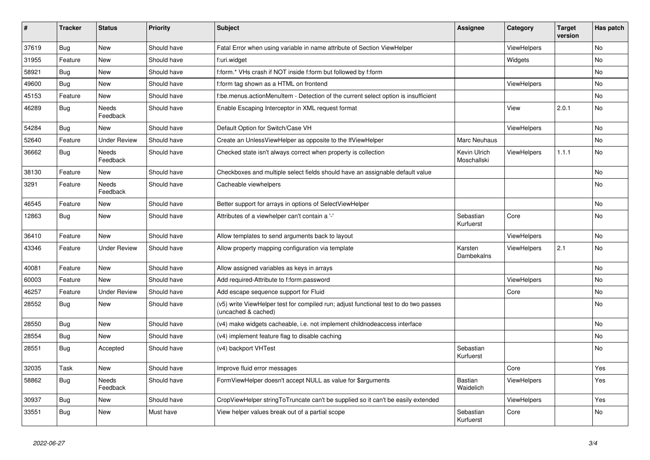| $\vert$ # | <b>Tracker</b> | <b>Status</b>            | <b>Priority</b> | <b>Subject</b>                                                                                              | Assignee                    | Category           | <b>Target</b><br>version | Has patch |
|-----------|----------------|--------------------------|-----------------|-------------------------------------------------------------------------------------------------------------|-----------------------------|--------------------|--------------------------|-----------|
| 37619     | <b>Bug</b>     | New                      | Should have     | Fatal Error when using variable in name attribute of Section ViewHelper                                     |                             | ViewHelpers        |                          | <b>No</b> |
| 31955     | Feature        | <b>New</b>               | Should have     | f:uri.widget                                                                                                |                             | Widgets            |                          | <b>No</b> |
| 58921     | Bug            | <b>New</b>               | Should have     | f:form.* VHs crash if NOT inside f:form but followed by f:form                                              |                             |                    |                          | No        |
| 49600     | Bug            | <b>New</b>               | Should have     | f:form tag shown as a HTML on frontend                                                                      |                             | ViewHelpers        |                          | <b>No</b> |
| 45153     | Feature        | <b>New</b>               | Should have     | f:be.menus.actionMenuItem - Detection of the current select option is insufficient                          |                             |                    |                          | <b>No</b> |
| 46289     | Bug            | Needs<br>Feedback        | Should have     | Enable Escaping Interceptor in XML request format                                                           |                             | View               | 2.0.1                    | <b>No</b> |
| 54284     | Bug            | New                      | Should have     | Default Option for Switch/Case VH                                                                           |                             | <b>ViewHelpers</b> |                          | <b>No</b> |
| 52640     | Feature        | <b>Under Review</b>      | Should have     | Create an UnlessViewHelper as opposite to the IfViewHelper                                                  | Marc Neuhaus                |                    |                          | <b>No</b> |
| 36662     | <b>Bug</b>     | <b>Needs</b><br>Feedback | Should have     | Checked state isn't always correct when property is collection                                              | Kevin Ulrich<br>Moschallski | ViewHelpers        | 1.1.1                    | <b>No</b> |
| 38130     | Feature        | New                      | Should have     | Checkboxes and multiple select fields should have an assignable default value                               |                             |                    |                          | <b>No</b> |
| 3291      | Feature        | Needs<br>Feedback        | Should have     | Cacheable viewhelpers                                                                                       |                             |                    |                          | No        |
| 46545     | Feature        | <b>New</b>               | Should have     | Better support for arrays in options of SelectViewHelper                                                    |                             |                    |                          | <b>No</b> |
| 12863     | Bug            | New                      | Should have     | Attributes of a viewhelper can't contain a '-'                                                              | Sebastian<br>Kurfuerst      | Core               |                          | <b>No</b> |
| 36410     | Feature        | <b>New</b>               | Should have     | Allow templates to send arguments back to layout                                                            |                             | ViewHelpers        |                          | <b>No</b> |
| 43346     | Feature        | Under Review             | Should have     | Allow property mapping configuration via template                                                           | Karsten<br>Dambekalns       | ViewHelpers        | 2.1                      | <b>No</b> |
| 40081     | Feature        | <b>New</b>               | Should have     | Allow assigned variables as keys in arrays                                                                  |                             |                    |                          | <b>No</b> |
| 60003     | Feature        | New                      | Should have     | Add required-Attribute to f:form.password                                                                   |                             | <b>ViewHelpers</b> |                          | <b>No</b> |
| 46257     | Feature        | <b>Under Review</b>      | Should have     | Add escape sequence support for Fluid                                                                       |                             | Core               |                          | No        |
| 28552     | Bug            | New                      | Should have     | (v5) write ViewHelper test for compiled run; adjust functional test to do two passes<br>(uncached & cached) |                             |                    |                          | No        |
| 28550     | <b>Bug</b>     | New                      | Should have     | (v4) make widgets cacheable, i.e. not implement childnodeaccess interface                                   |                             |                    |                          | No        |
| 28554     | Bug            | New                      | Should have     | (v4) implement feature flag to disable caching                                                              |                             |                    |                          | No        |
| 28551     | <b>Bug</b>     | Accepted                 | Should have     | (v4) backport VHTest                                                                                        | Sebastian<br>Kurfuerst      |                    |                          | No        |
| 32035     | Task           | New                      | Should have     | Improve fluid error messages                                                                                |                             | Core               |                          | Yes       |
| 58862     | Bug            | Needs<br>Feedback        | Should have     | FormViewHelper doesn't accept NULL as value for \$arguments                                                 | Bastian<br>Waidelich        | ViewHelpers        |                          | Yes       |
| 30937     | <b>Bug</b>     | <b>New</b>               | Should have     | CropViewHelper stringToTruncate can't be supplied so it can't be easily extended                            |                             | <b>ViewHelpers</b> |                          | Yes       |
| 33551     | Bug            | <b>New</b>               | Must have       | View helper values break out of a partial scope                                                             | Sebastian<br>Kurfuerst      | Core               |                          | <b>No</b> |